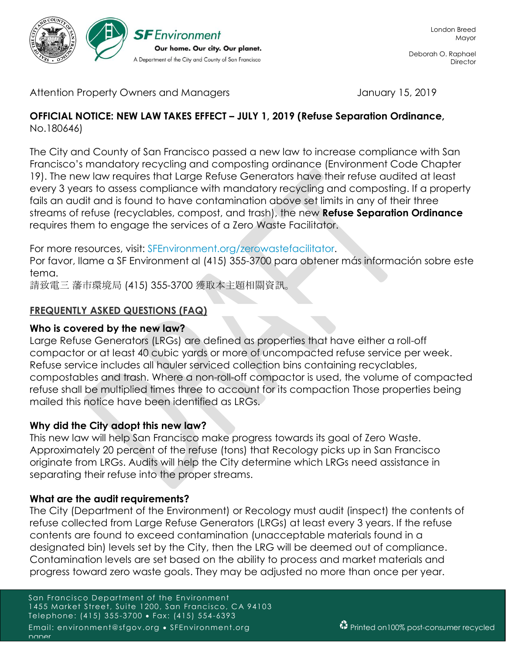

Deborah O. Raphael **Director** 

Attention Property Owners and Managers Theorem 15, 2019

#### **OFFICIAL NOTICE: NEW LAW TAKES EFFECT – JULY 1, 2019 (Refuse Separation Ordinance,**  No.180646)

The City and County of San Francisco passed a new law to increase compliance with San Francisco's mandatory recycling and composting ordinance (Environment Code Chapter 19). The new law requires that Large Refuse Generators have their refuse audited at least every 3 years to assess compliance with mandatory recycling and composting. If a property fails an audit and is found to have contamination above set limits in any of their three streams of refuse (recyclables, compost, and trash), the new **Refuse Separation Ordinance**  requires them to engage the services of a Zero Waste Facilitator.

For more resources, visit: SFEnvironment.org/zerowastefacilitator.

Por favor, llame a SF Environment al (415) 355-3700 para obtener más información sobre este tema.

請致電三 藩市環境局 (415) 355-3700 獲取本主題相關資訊。

# **FREQUENTLY ASKED QUESTIONS (FAQ)**

#### **Who is covered by the new law?**

Large Refuse Generators (LRGs) are defined as properties that have either a roll-off compactor or at least 40 cubic yards or more of uncompacted refuse service per week. Refuse service includes all hauler serviced collection bins containing recyclables, compostables and trash. Where a non-roll-off compactor is used, the volume of compacted refuse shall be multiplied times three to account for its compaction Those properties being mailed this notice have been identified as LRGs.

#### **Why did the City adopt this new law?**

This new law will help San Francisco make progress towards its goal of Zero Waste. Approximately 20 percent of the refuse (tons) that Recology picks up in San Francisco originate from LRGs. Audits will help the City determine which LRGs need assistance in separating their refuse into the proper streams.

#### **What are the audit requirements?**

The City (Department of the Environment) or Recology must audit (inspect) the contents of refuse collected from Large Refuse Generators (LRGs) at least every 3 years. If the refuse contents are found to exceed contamination (unacceptable materials found in a designated bin) levels set by the City, then the LRG will be deemed out of compliance. Contamination levels are set based on the ability to process and market materials and progress toward zero waste goals. They may be adjusted no more than once per year.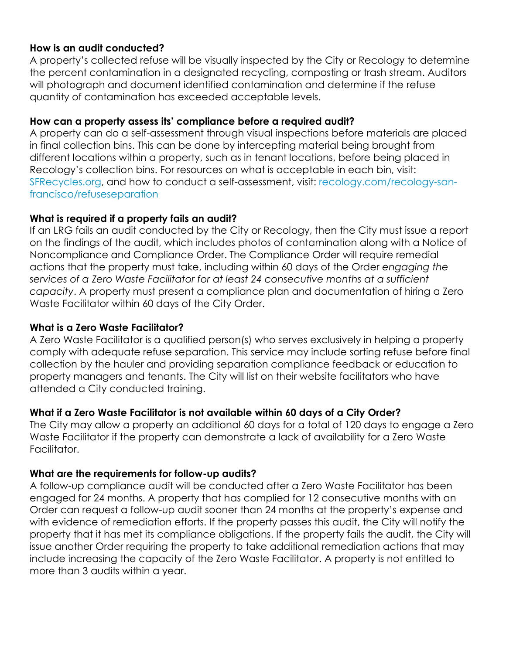# **How is an audit conducted?**

A property's collected refuse will be visually inspected by the City or Recology to determine the percent contamination in a designated recycling, composting or trash stream. Auditors will photograph and document identified contamination and determine if the refuse quantity of contamination has exceeded acceptable levels.

# **How can a property assess its' compliance before a required audit?**

A property can do a self-assessment through visual inspections before materials are placed in final collection bins. This can be done by intercepting material being brought from different locations within a property, such as in tenant locations, before being placed in Recology's collection bins. For resources on what is acceptable in each bin, visit: SFRecycles.org, and how to conduct a self-assessment, visit: recology.com/recology-sanfrancisco/refuseseparation

# **What is required if a property fails an audit?**

If an LRG fails an audit conducted by the City or Recology, then the City must issue a report on the findings of the audit, which includes photos of contamination along with a Notice of Noncompliance and Compliance Order. The Compliance Order will require remedial actions that the property must take, including within 60 days of the Order *engaging the services of a Zero Waste Facilitator for at least 24 consecutive months at a sufficient capacity*. A property must present a compliance plan and documentation of hiring a Zero Waste Facilitator within 60 days of the City Order.

#### **What is a Zero Waste Facilitator?**

A Zero Waste Facilitator is a qualified person(s) who serves exclusively in helping a property comply with adequate refuse separation. This service may include sorting refuse before final collection by the hauler and providing separation compliance feedback or education to property managers and tenants. The City will list on their website facilitators who have attended a City conducted training.

# **What if a Zero Waste Facilitator is not available within 60 days of a City Order?**

The City may allow a property an additional 60 days for a total of 120 days to engage a Zero Waste Facilitator if the property can demonstrate a lack of availability for a Zero Waste Facilitator.

# **What are the requirements for follow-up audits?**

A follow-up compliance audit will be conducted after a Zero Waste Facilitator has been engaged for 24 months. A property that has complied for 12 consecutive months with an Order can request a follow-up audit sooner than 24 months at the property's expense and with evidence of remediation efforts. If the property passes this audit, the City will notify the property that it has met its compliance obligations. If the property fails the audit, the City will issue another Order requiring the property to take additional remediation actions that may include increasing the capacity of the Zero Waste Facilitator. A property is not entitled to more than 3 audits within a year.